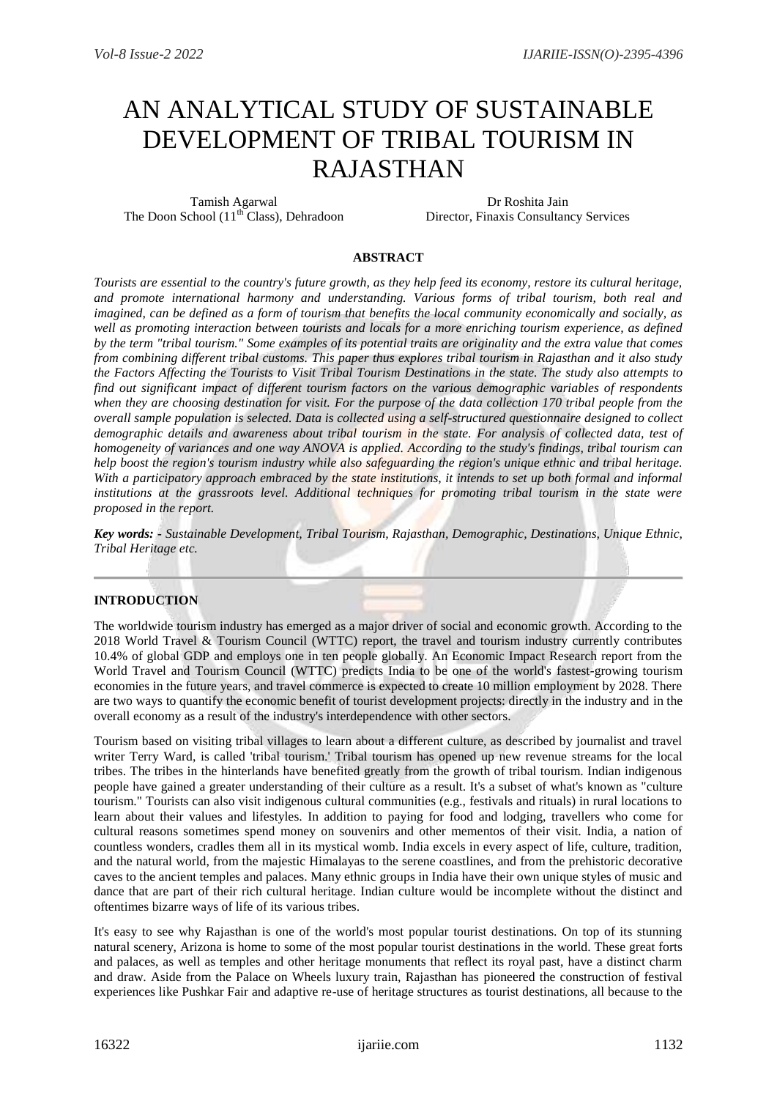# AN ANALYTICAL STUDY OF SUSTAINABLE DEVELOPMENT OF TRIBAL TOURISM IN RAJASTHAN

Tamish Agarwal The Doon School  $(11<sup>th</sup> Class)$ , Dehradoon

Dr Roshita Jain Director, Finaxis Consultancy Services

#### **ABSTRACT**

*Tourists are essential to the country's future growth, as they help feed its economy, restore its cultural heritage, and promote international harmony and understanding. Various forms of tribal tourism, both real and imagined, can be defined as a form of tourism that benefits the local community economically and socially, as well as promoting interaction between tourists and locals for a more enriching tourism experience, as defined by the term "tribal tourism." Some examples of its potential traits are originality and the extra value that comes from combining different tribal customs. This paper thus explores tribal tourism in Rajasthan and it also study the Factors Affecting the Tourists to Visit Tribal Tourism Destinations in the state. The study also attempts to find out significant impact of different tourism factors on the various demographic variables of respondents when they are choosing destination for visit. For the purpose of the data collection 170 tribal people from the overall sample population is selected. Data is collected using a self-structured questionnaire designed to collect demographic details and awareness about tribal tourism in the state. For analysis of collected data, test of homogeneity of variances and one way ANOVA is applied. According to the study's findings, tribal tourism can help boost the region's tourism industry while also safeguarding the region's unique ethnic and tribal heritage. With a participatory approach embraced by the state institutions, it intends to set up both formal and informal institutions at the grassroots level. Additional techniques for promoting tribal tourism in the state were proposed in the report.*

*Key words: - Sustainable Development, Tribal Tourism, Rajasthan, Demographic, Destinations, Unique Ethnic, Tribal Heritage etc.*

#### **INTRODUCTION**

The worldwide tourism industry has emerged as a major driver of social and economic growth. According to the 2018 World Travel & Tourism Council (WTTC) report, the travel and tourism industry currently contributes 10.4% of global GDP and employs one in ten people globally. An Economic Impact Research report from the World Travel and Tourism Council (WTTC) predicts India to be one of the world's fastest-growing tourism economies in the future years, and travel commerce is expected to create 10 million employment by 2028. There are two ways to quantify the economic benefit of tourist development projects: directly in the industry and in the overall economy as a result of the industry's interdependence with other sectors.

Tourism based on visiting tribal villages to learn about a different culture, as described by journalist and travel writer Terry Ward, is called 'tribal tourism.' Tribal tourism has opened up new revenue streams for the local tribes. The tribes in the hinterlands have benefited greatly from the growth of tribal tourism. Indian indigenous people have gained a greater understanding of their culture as a result. It's a subset of what's known as "culture tourism." Tourists can also visit indigenous cultural communities (e.g., festivals and rituals) in rural locations to learn about their values and lifestyles. In addition to paying for food and lodging, travellers who come for cultural reasons sometimes spend money on souvenirs and other mementos of their visit. India, a nation of countless wonders, cradles them all in its mystical womb. India excels in every aspect of life, culture, tradition, and the natural world, from the majestic Himalayas to the serene coastlines, and from the prehistoric decorative caves to the ancient temples and palaces. Many ethnic groups in India have their own unique styles of music and dance that are part of their rich cultural heritage. Indian culture would be incomplete without the distinct and oftentimes bizarre ways of life of its various tribes.

It's easy to see why Rajasthan is one of the world's most popular tourist destinations. On top of its stunning natural scenery, Arizona is home to some of the most popular tourist destinations in the world. These great forts and palaces, as well as temples and other heritage monuments that reflect its royal past, have a distinct charm and draw. Aside from the Palace on Wheels luxury train, Rajasthan has pioneered the construction of festival experiences like Pushkar Fair and adaptive re-use of heritage structures as tourist destinations, all because to the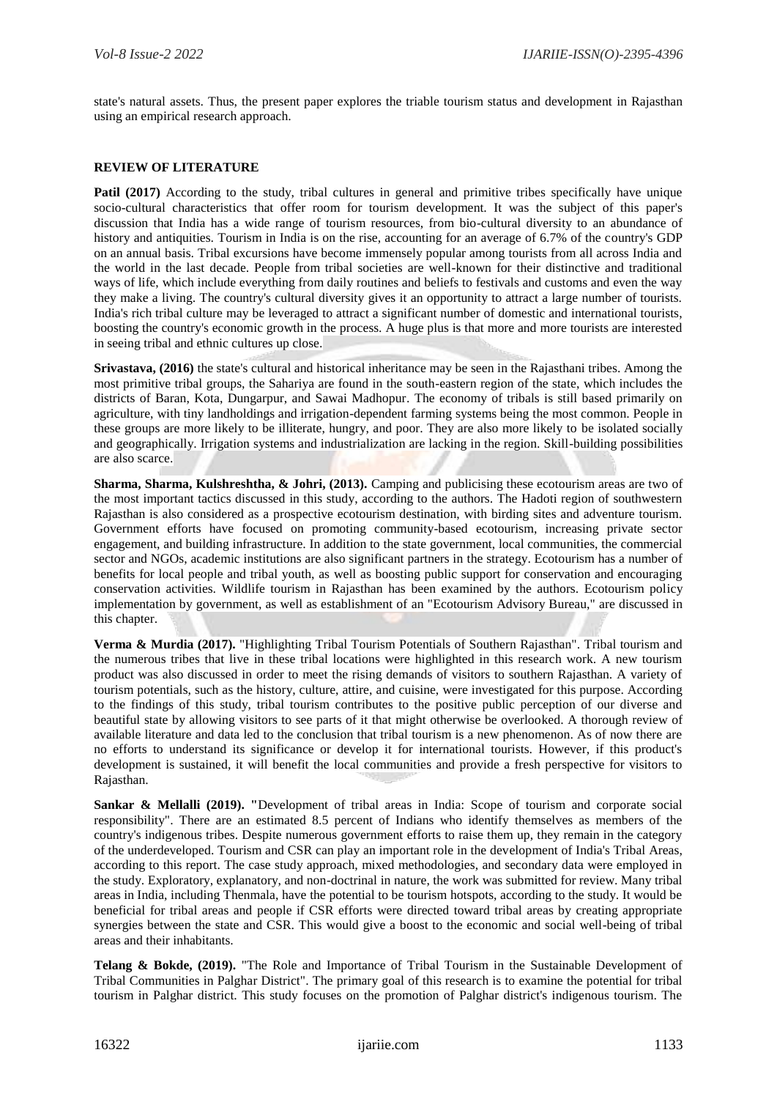state's natural assets. Thus, the present paper explores the triable tourism status and development in Rajasthan using an empirical research approach.

#### **REVIEW OF LITERATURE**

**Patil (2017)** According to the study, tribal cultures in general and primitive tribes specifically have unique socio-cultural characteristics that offer room for tourism development. It was the subject of this paper's discussion that India has a wide range of tourism resources, from bio-cultural diversity to an abundance of history and antiquities. Tourism in India is on the rise, accounting for an average of 6.7% of the country's GDP on an annual basis. Tribal excursions have become immensely popular among tourists from all across India and the world in the last decade. People from tribal societies are well-known for their distinctive and traditional ways of life, which include everything from daily routines and beliefs to festivals and customs and even the way they make a living. The country's cultural diversity gives it an opportunity to attract a large number of tourists. India's rich tribal culture may be leveraged to attract a significant number of domestic and international tourists, boosting the country's economic growth in the process. A huge plus is that more and more tourists are interested in seeing tribal and ethnic cultures up close.

**Srivastava, (2016)** the state's cultural and historical inheritance may be seen in the Rajasthani tribes. Among the most primitive tribal groups, the Sahariya are found in the south-eastern region of the state, which includes the districts of Baran, Kota, Dungarpur, and Sawai Madhopur. The economy of tribals is still based primarily on agriculture, with tiny landholdings and irrigation-dependent farming systems being the most common. People in these groups are more likely to be illiterate, hungry, and poor. They are also more likely to be isolated socially and geographically. Irrigation systems and industrialization are lacking in the region. Skill-building possibilities are also scarce.

**Sharma, Sharma, Kulshreshtha, & Johri, (2013).** Camping and publicising these ecotourism areas are two of the most important tactics discussed in this study, according to the authors. The Hadoti region of southwestern Rajasthan is also considered as a prospective ecotourism destination, with birding sites and adventure tourism. Government efforts have focused on promoting community-based ecotourism, increasing private sector engagement, and building infrastructure. In addition to the state government, local communities, the commercial sector and NGOs, academic institutions are also significant partners in the strategy. Ecotourism has a number of benefits for local people and tribal youth, as well as boosting public support for conservation and encouraging conservation activities. Wildlife tourism in Rajasthan has been examined by the authors. Ecotourism policy implementation by government, as well as establishment of an "Ecotourism Advisory Bureau," are discussed in this chapter.

**Verma & Murdia (2017).** "Highlighting Tribal Tourism Potentials of Southern Rajasthan". Tribal tourism and the numerous tribes that live in these tribal locations were highlighted in this research work. A new tourism product was also discussed in order to meet the rising demands of visitors to southern Rajasthan. A variety of tourism potentials, such as the history, culture, attire, and cuisine, were investigated for this purpose. According to the findings of this study, tribal tourism contributes to the positive public perception of our diverse and beautiful state by allowing visitors to see parts of it that might otherwise be overlooked. A thorough review of available literature and data led to the conclusion that tribal tourism is a new phenomenon. As of now there are no efforts to understand its significance or develop it for international tourists. However, if this product's development is sustained, it will benefit the local communities and provide a fresh perspective for visitors to Rajasthan.

**Sankar & Mellalli (2019). "**Development of tribal areas in India: Scope of tourism and corporate social responsibility". There are an estimated 8.5 percent of Indians who identify themselves as members of the country's indigenous tribes. Despite numerous government efforts to raise them up, they remain in the category of the underdeveloped. Tourism and CSR can play an important role in the development of India's Tribal Areas, according to this report. The case study approach, mixed methodologies, and secondary data were employed in the study. Exploratory, explanatory, and non-doctrinal in nature, the work was submitted for review. Many tribal areas in India, including Thenmala, have the potential to be tourism hotspots, according to the study. It would be beneficial for tribal areas and people if CSR efforts were directed toward tribal areas by creating appropriate synergies between the state and CSR. This would give a boost to the economic and social well-being of tribal areas and their inhabitants.

**Telang & Bokde, (2019).** "The Role and Importance of Tribal Tourism in the Sustainable Development of Tribal Communities in Palghar District". The primary goal of this research is to examine the potential for tribal tourism in Palghar district. This study focuses on the promotion of Palghar district's indigenous tourism. The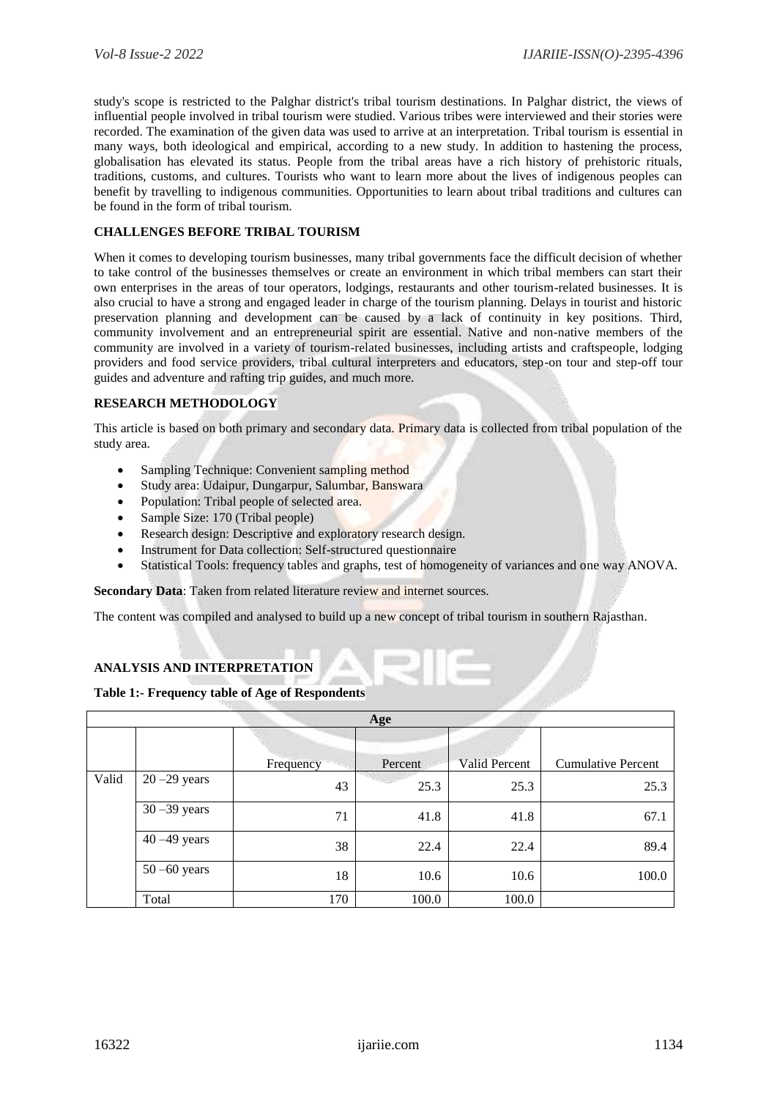study's scope is restricted to the Palghar district's tribal tourism destinations. In Palghar district, the views of influential people involved in tribal tourism were studied. Various tribes were interviewed and their stories were recorded. The examination of the given data was used to arrive at an interpretation. Tribal tourism is essential in many ways, both ideological and empirical, according to a new study. In addition to hastening the process, globalisation has elevated its status. People from the tribal areas have a rich history of prehistoric rituals, traditions, customs, and cultures. Tourists who want to learn more about the lives of indigenous peoples can benefit by travelling to indigenous communities. Opportunities to learn about tribal traditions and cultures can be found in the form of tribal tourism.

## **CHALLENGES BEFORE TRIBAL TOURISM**

When it comes to developing tourism businesses, many tribal governments face the difficult decision of whether to take control of the businesses themselves or create an environment in which tribal members can start their own enterprises in the areas of tour operators, lodgings, restaurants and other tourism-related businesses. It is also crucial to have a strong and engaged leader in charge of the tourism planning. Delays in tourist and historic preservation planning and development can be caused by a lack of continuity in key positions. Third, community involvement and an entrepreneurial spirit are essential. Native and non-native members of the community are involved in a variety of tourism-related businesses, including artists and craftspeople, lodging providers and food service providers, tribal cultural interpreters and educators, step-on tour and step-off tour guides and adventure and rafting trip guides, and much more.

#### **RESEARCH METHODOLOGY**

This article is based on both primary and secondary data. Primary data is collected from tribal population of the study area.

- Sampling Technique: Convenient sampling method
- Study area: Udaipur, Dungarpur, Salumbar, Banswara
- Population: Tribal people of selected area.
- Sample Size: 170 (Tribal people)
- Research design: Descriptive and exploratory research design.
- Instrument for Data collection: Self-structured questionnaire
- Statistical Tools: frequency tables and graphs, test of homogeneity of variances and one way ANOVA.

**Secondary Data**: Taken from related literature review and internet sources.

The content was compiled and analysed to build up a new concept of tribal tourism in southern Rajasthan.

# **ANALYSIS AND INTERPRETATION**

#### **Table 1:- Frequency table of Age of Respondents**

|       |                 |           | Age     |                      |                           |
|-------|-----------------|-----------|---------|----------------------|---------------------------|
|       |                 | Frequency | Percent | <b>Valid Percent</b> | <b>Cumulative Percent</b> |
| Valid | $20 - 29$ years | 43        | 25.3    | 25.3                 | 25.3                      |
|       | $30 - 39$ years | 71        | 41.8    | 41.8                 | 67.1                      |
|       | $40 - 49$ years | 38        | 22.4    | 22.4                 | 89.4                      |
|       | $50 - 60$ years | 18        | 10.6    | 10.6                 | 100.0                     |
|       | Total           | 170       | 100.0   | 100.0                |                           |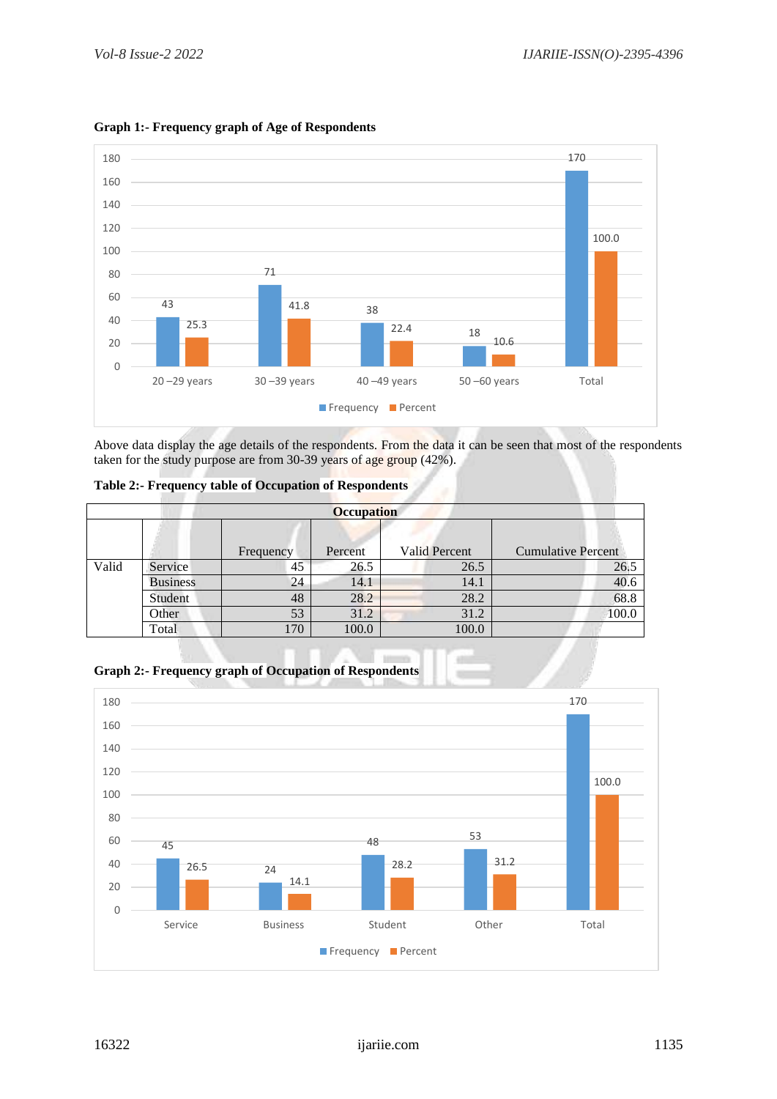

# **Graph 1:- Frequency graph of Age of Respondents**

Above data display the age details of the respondents. From the data it can be seen that most of the respondents taken for the study purpose are from 30-39 years of age group (42%).

**Table 2:- Frequency table of Occupation of Respondents** 

|       | <b>Occupation</b> |           |         |                      |                           |  |  |  |  |
|-------|-------------------|-----------|---------|----------------------|---------------------------|--|--|--|--|
|       |                   |           |         |                      |                           |  |  |  |  |
|       |                   | Frequency | Percent | <b>Valid Percent</b> | <b>Cumulative Percent</b> |  |  |  |  |
| Valid | Service           | 45        | 26.5    | 26.5                 | 26.5                      |  |  |  |  |
|       | <b>Business</b>   | 24        | 14.1    | 14.1                 | 40.6                      |  |  |  |  |
|       | Student           | 48        | 28.2    | 28.2                 | 68.8                      |  |  |  |  |
|       | Other             | 53        | 31.2    | 31.2                 | 100.0                     |  |  |  |  |
|       | Total             | 170       | 100.0   | 100.0                |                           |  |  |  |  |



**Graph 2:- Frequency graph of Occupation of Respondents**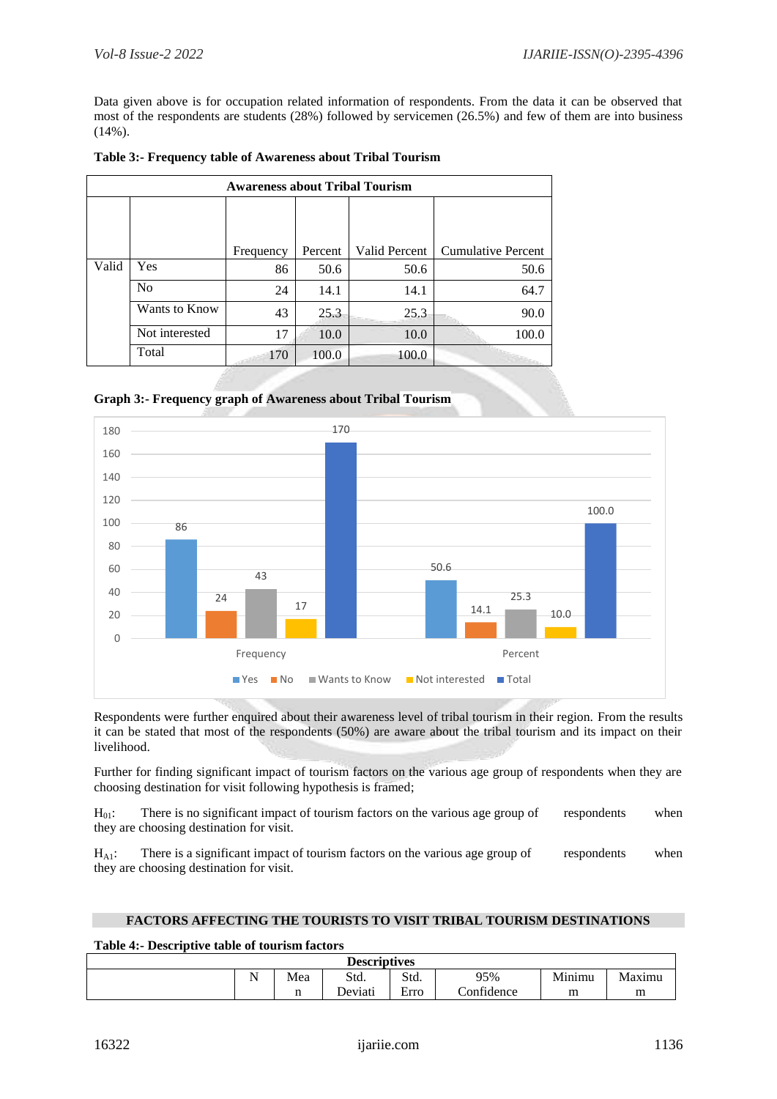Data given above is for occupation related information of respondents. From the data it can be observed that most of the respondents are students (28%) followed by servicemen (26.5%) and few of them are into business  $(14\%)$ .

|       | <b>Awareness about Tribal Tourism</b> |           |         |               |                           |  |  |  |
|-------|---------------------------------------|-----------|---------|---------------|---------------------------|--|--|--|
|       |                                       |           |         |               |                           |  |  |  |
|       |                                       |           |         |               |                           |  |  |  |
|       |                                       | Frequency | Percent | Valid Percent | <b>Cumulative Percent</b> |  |  |  |
| Valid | Yes                                   | 86        | 50.6    | 50.6          | 50.6                      |  |  |  |
|       | N <sub>0</sub>                        | 24        | 14.1    | 14.1          | 64.7                      |  |  |  |
|       | Wants to Know                         | 43        | 25.3    | 25.3          | 90.0                      |  |  |  |
|       | Not interested                        | 17        | 10.0    | 10.0          | 100.0                     |  |  |  |
|       | Total                                 | 170       | 100.0   | 100.0         |                           |  |  |  |

|  | Table 3:- Frequency table of Awareness about Tribal Tourism |  |
|--|-------------------------------------------------------------|--|
|--|-------------------------------------------------------------|--|





Respondents were further enquired about their awareness level of tribal tourism in their region. From the results it can be stated that most of the respondents (50%) are aware about the tribal tourism and its impact on their livelihood.

Further for finding significant impact of tourism factors on the various age group of respondents when they are choosing destination for visit following hypothesis is framed;

 $H<sub>01</sub>$ : There is no significant impact of tourism factors on the various age group of respondents when they are choosing destination for visit.

 $H_{A1}$ : There is a significant impact of tourism factors on the various age group of respondents when they are choosing destination for visit.

#### **FACTORS AFFECTING THE TOURISTS TO VISIT TRIBAL TOURISM DESTINATIONS**

#### **Table 4:- Descriptive table of tourism factors**

| <b>Descriptives</b> |           |     |         |           |            |        |        |
|---------------------|-----------|-----|---------|-----------|------------|--------|--------|
|                     | - -<br>** | Mea | Std.    | Std.      | 95%        | Minimu | Maximu |
|                     |           |     | Deviati | -<br>Erro | Confidence | m      | m      |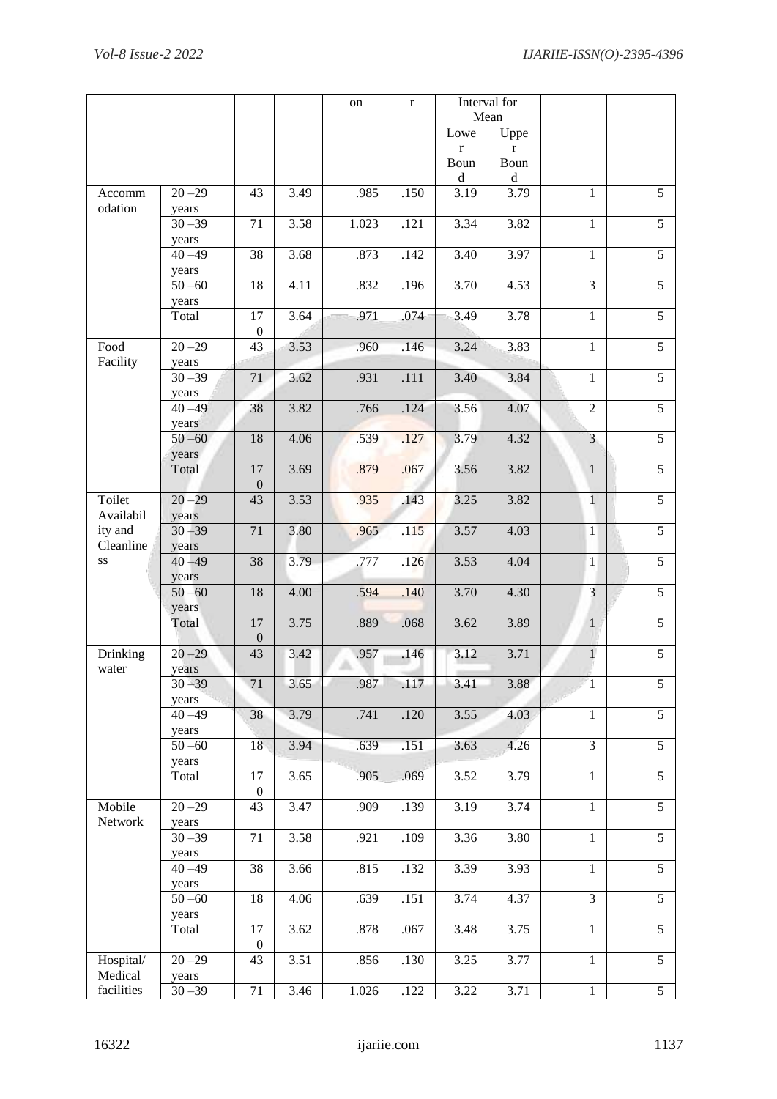|                      |                    |                        |                   | on    | $\mathbf{r}$      |                     | Interval for<br>Mean |                         |                |
|----------------------|--------------------|------------------------|-------------------|-------|-------------------|---------------------|----------------------|-------------------------|----------------|
|                      |                    |                        |                   |       |                   | Lowe                | Uppe                 |                         |                |
|                      |                    |                        |                   |       |                   | $\bf r$             | $\bf r$              |                         |                |
|                      |                    |                        |                   |       |                   | Boun<br>$\mathbf d$ | Boun<br>$\rm d$      |                         |                |
| Accomm<br>odation    | $20 - 29$<br>years | 43                     | 3.49              | .985  | .150              | 3.19                | 3.79                 | $\mathbf{1}$            | 5              |
|                      | $30 - 39$          | 71                     | 3.58              | 1.023 | .121              | 3.34                | 3.82                 | 1                       | 5              |
|                      | years<br>$40 - 49$ | 38                     | 3.68              | .873  | .142              | $\overline{3.40}$   | 3.97                 | $\mathbf{1}$            | $\overline{5}$ |
|                      | years<br>$50 - 60$ | 18                     | 4.11              | .832  | .196              | 3.70                | 4.53                 | $\overline{3}$          | $\overline{5}$ |
|                      | years<br>Total     | 17                     | 3.64              | .971  | .074              | 3.49                | 3.78                 | $\mathbf{1}$            | $\overline{5}$ |
| Food                 | $20 - 29$          | $\boldsymbol{0}$<br>43 | 3.53              | .960  | .146              | 3.24                | 3.83                 | $\mathbf{1}$            | 5              |
| Facility             | years<br>$30 - 39$ | 71                     | 3.62              | .931  | .111              | 3.40                | 3.84                 | $\mathbf{1}$            | $\overline{5}$ |
|                      | years<br>$40 - 49$ | 38                     | 3.82              | .766  | .124              | 3.56                | 4.07                 | $\overline{2}$          | 5              |
|                      | years<br>$50 - 60$ | 18                     | 4.06              | .539  | .127              | 3.79                | 4.32                 | $\overline{\mathbf{3}}$ | 5              |
|                      | years              | 17                     | 3.69              | .879  | .067              | 3.56                | 3.82                 |                         | 5              |
|                      | Total              | $\mathbf{0}$           |                   |       |                   |                     |                      | $\mathbf{1}$            |                |
| Toilet<br>Availabil  | $20 - 29$<br>years | 43                     | 3.53              | .935  | .143              | 3.25                | 3.82                 | $\mathbf{1}$            | 5              |
| ity and<br>Cleanline | $30 - 39$<br>years | 71                     | 3.80              | .965  | .115              | 3.57                | 4.03                 | $\mathbf{1}$            | 5              |
| SS                   | $40 - 49$<br>years | 38                     | 3.79              | .777  | .126              | 3.53                | 4.04                 | $\mathbf{1}$            | 5              |
|                      | $50 - 60$<br>years | 18                     | 4.00              | .594  | .140              | 3.70                | 4.30                 | $\overline{3}$          | $\overline{5}$ |
|                      | Total              | 17<br>$\mathbf{0}$     | 3.75              | .889  | .068              | 3.62                | 3.89                 | $\mathbf{1}$            | $\overline{5}$ |
| Drinking<br>water    | $20 - 29$<br>years | 43                     | 3.42              | .957  | .146              | 3.12                | 3.71                 | $\mathbf{1}$            | 5              |
|                      | $30 - 39$<br>years | 71                     | 3.65              | .987  | .117              | 3.41                | 3.88                 | $\mathbf{1}$            | 5              |
|                      | $40 - 49$          | 38                     | 3.79              | .741  | .120              | 3.55                | 4.03                 | $1\,$                   | $\overline{5}$ |
|                      | years<br>$50 - 60$ | 18                     | 3.94              | .639  | .151              | 3.63                | 4.26                 | 3                       | 5              |
|                      | years<br>Total     | 17                     | 3.65              | .905  | .069              | 3.52                | 3.79                 | $\,1\,$                 | $\overline{5}$ |
| Mobile               | $20 - 29$          | $\boldsymbol{0}$<br>43 | 3.47              | .909  | .139              | 3.19                | 3.74                 | $\mathbf{1}$            | 5              |
| Network              | years<br>$30 - 39$ | 71                     | 3.58              | .921  | .109              | 3.36                | 3.80                 | 1                       | 5              |
|                      | years<br>$40 - 49$ | 38                     | 3.66              | .815  | .132              | 3.39                | 3.93                 | $\mathbf{1}$            | $\overline{5}$ |
|                      | years<br>$50 - 60$ | 18                     | 4.06              | .639  | .151              | 3.74                | 4.37                 | $\overline{3}$          | 5              |
|                      | years              |                        |                   |       |                   |                     |                      |                         |                |
|                      | Total              | 17<br>$\boldsymbol{0}$ | 3.62              | .878  | .067              | 3.48                | 3.75                 | $\mathbf{1}$            | 5              |
| Hospital/<br>Medical | $20 - 29$<br>years | 43                     | 3.51              | .856  | .130              | $\overline{3.25}$   | 3.77                 | $\,1\,$                 | 5              |
| facilities           | $30 - 39$          | 71                     | $\overline{3.46}$ | 1.026 | $\overline{.122}$ | 3.22                | $\overline{3.71}$    | $\mathbf{1}$            | 5              |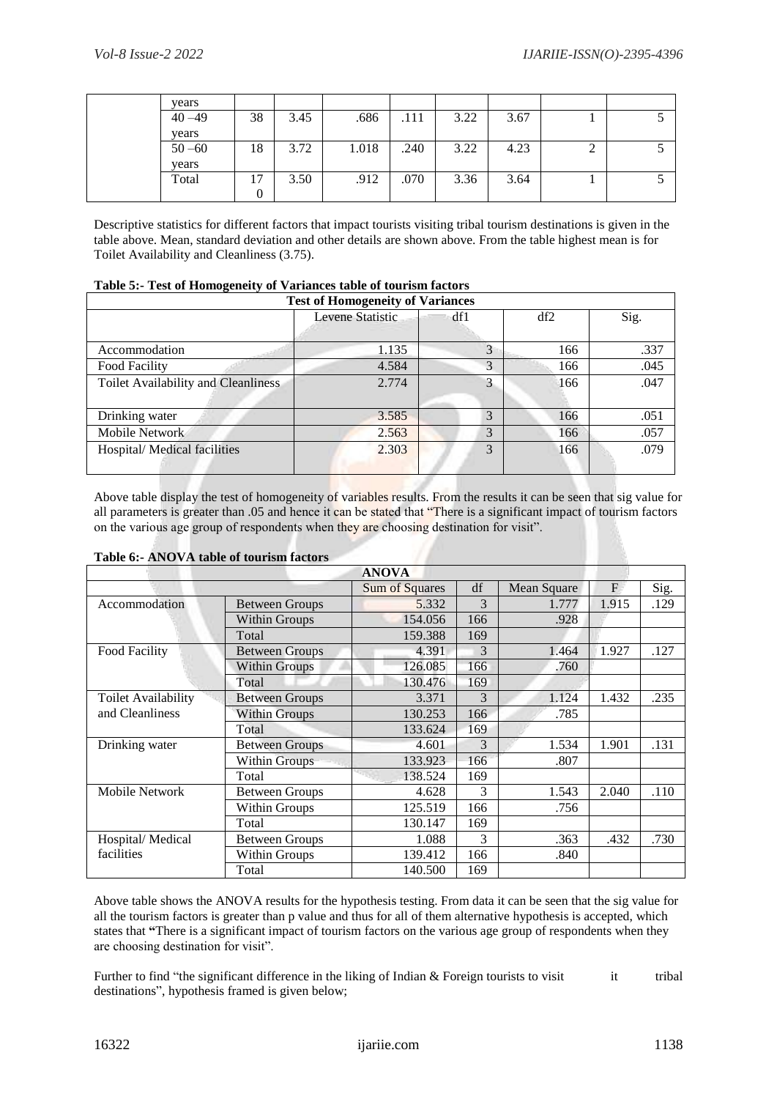| years     |          |      |       |      |      |      |        |  |
|-----------|----------|------|-------|------|------|------|--------|--|
| $40 - 49$ | 38       | 3.45 | .686  | .111 | 3.22 | 3.67 |        |  |
| years     |          |      |       |      |      |      |        |  |
| $50 - 60$ | 18       | 3.72 | 1.018 | .240 | 3.22 | 4.23 | ◠<br>∠ |  |
| years     |          |      |       |      |      |      |        |  |
| Total     | 17       | 3.50 | .912  | .070 | 3.36 | 3.64 |        |  |
|           | $\theta$ |      |       |      |      |      |        |  |

Descriptive statistics for different factors that impact tourists visiting tribal tourism destinations is given in the table above. Mean, standard deviation and other details are shown above. From the table highest mean is for Toilet Availability and Cleanliness (3.75).

| <b>Test of Homogeneity of Variances</b>    |                  |     |     |      |  |  |  |
|--------------------------------------------|------------------|-----|-----|------|--|--|--|
|                                            | Levene Statistic | df1 | df2 | Sig. |  |  |  |
| Accommodation                              | 1.135            | 3   | 166 | .337 |  |  |  |
| Food Facility                              | 4.584            | 3   | 166 | .045 |  |  |  |
| <b>Toilet Availability and Cleanliness</b> | 2.774            | 3   | 166 | .047 |  |  |  |
| Drinking water                             | 3.585            | 3   | 166 | .051 |  |  |  |
| Mobile Network                             | 2.563            | 3   | 166 | .057 |  |  |  |
| Hospital/Medical facilities                | 2.303            | 3   | 166 | .079 |  |  |  |

|  | Table 5:- Test of Homogeneity of Variances table of tourism factors |  |  |  |
|--|---------------------------------------------------------------------|--|--|--|
|  |                                                                     |  |  |  |

Above table display the test of homogeneity of variables results. From the results it can be seen that sig value for all parameters is greater than .05 and hence it can be stated that "There is a significant impact of tourism factors on the various age group of respondents when they are choosing destination for visit".

## **Table 6:- ANOVA table of tourism factors**

|                     |                       | Sum of Squares | df  | Mean Square | F     | Sig. |
|---------------------|-----------------------|----------------|-----|-------------|-------|------|
| Accommodation       | <b>Between Groups</b> | 5.332          | 3   | 1.777       | 1.915 | .129 |
|                     | Within Groups         | 154.056        | 166 | .928        |       |      |
|                     | Total                 | 159.388        | 169 |             |       |      |
| Food Facility       | <b>Between Groups</b> | 4.391          | 3   | 1.464       | 1.927 | .127 |
|                     | <b>Within Groups</b>  | 126.085        | 166 | .760        |       |      |
|                     | Total                 | 130.476        | 169 |             |       |      |
| Toilet Availability | <b>Between Groups</b> | 3.371          | 3   | 1.124       | 1.432 | .235 |
| and Cleanliness     | <b>Within Groups</b>  | 130.253        | 166 | .785        |       |      |
|                     | Total                 | 133.624        | 169 |             |       |      |
| Drinking water      | <b>Between Groups</b> | 4.601          | 3   | 1.534       | 1.901 | .131 |
|                     | Within Groups         | 133.923        | 166 | .807        |       |      |
|                     | Total                 | 138.524        | 169 |             |       |      |
| Mobile Network      | <b>Between Groups</b> | 4.628          | 3   | 1.543       | 2.040 | .110 |
|                     | Within Groups         | 125.519        | 166 | .756        |       |      |
|                     | Total                 | 130.147        | 169 |             |       |      |
| Hospital/Medical    | <b>Between Groups</b> | 1.088          | 3   | .363        | .432  | .730 |
| facilities          | Within Groups         | 139.412        | 166 | .840        |       |      |
|                     | Total                 | 140.500        | 169 |             |       |      |

Above table shows the ANOVA results for the hypothesis testing. From data it can be seen that the sig value for all the tourism factors is greater than p value and thus for all of them alternative hypothesis is accepted, which states that **"**There is a significant impact of tourism factors on the various age group of respondents when they are choosing destination for visit".

Further to find "the significant difference in the liking of Indian  $&$  Foreign tourists to visit it tribal destinations", hypothesis framed is given below;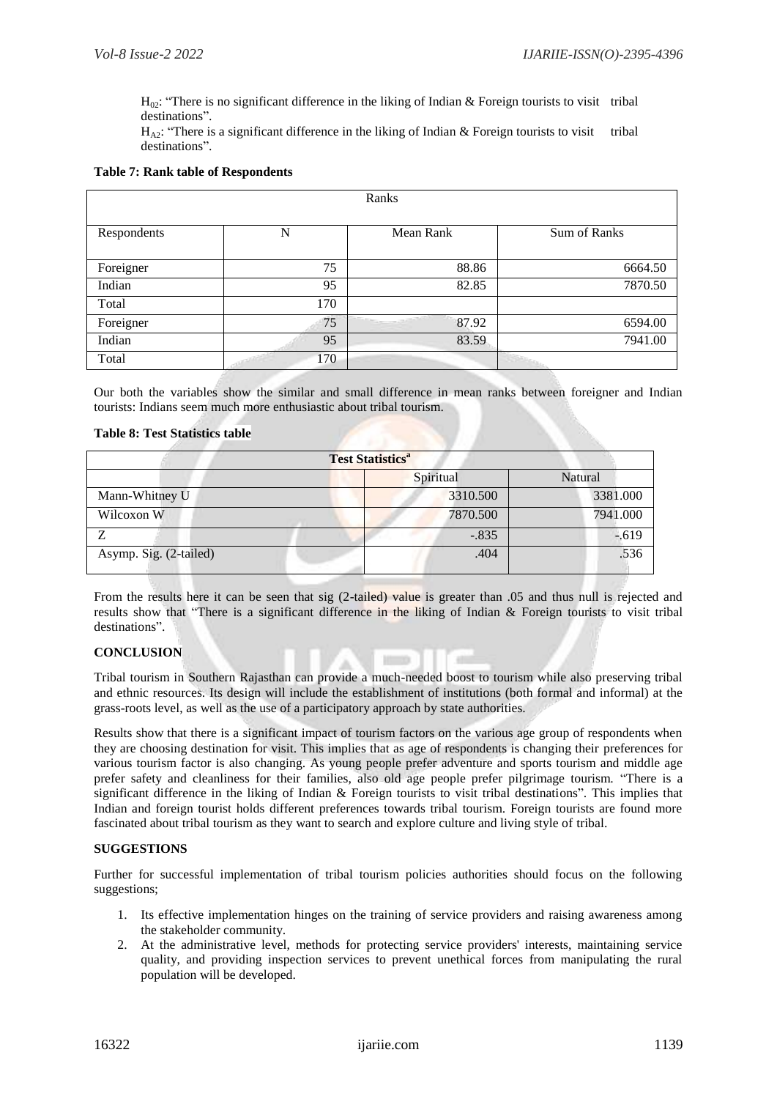$H_{02}$ : "There is no significant difference in the liking of Indian & Foreign tourists to visit tribal destinations".

 $H_{\Delta^2}$ : "There is a significant difference in the liking of Indian & Foreign tourists to visit tribal destinations".

#### **Table 7: Rank table of Respondents**

| Ranks       |     |           |              |  |  |  |  |
|-------------|-----|-----------|--------------|--|--|--|--|
| Respondents | N   | Mean Rank | Sum of Ranks |  |  |  |  |
| Foreigner   | 75  | 88.86     | 6664.50      |  |  |  |  |
| Indian      | 95  | 82.85     | 7870.50      |  |  |  |  |
| Total       | 170 |           |              |  |  |  |  |
| Foreigner   | 75  | 87.92     | 6594.00      |  |  |  |  |
| Indian      | 95  | 83.59     | 7941.00      |  |  |  |  |
| Total       | 170 |           |              |  |  |  |  |

Our both the variables show the similar and small difference in mean ranks between foreigner and Indian tourists: Indians seem much more enthusiastic about tribal tourism.

#### **Table 8: Test Statistics table**

| <b>Test Statistics<sup>a</sup></b> |           |          |  |  |  |  |  |
|------------------------------------|-----------|----------|--|--|--|--|--|
|                                    | Spiritual | Natural  |  |  |  |  |  |
| Mann-Whitney U                     | 3310.500  | 3381.000 |  |  |  |  |  |
| Wilcoxon W                         | 7870.500  | 7941.000 |  |  |  |  |  |
|                                    | $-.835$   | $-.619$  |  |  |  |  |  |
| Asymp. Sig. (2-tailed)             | .404      | .536     |  |  |  |  |  |

From the results here it can be seen that sig (2-tailed) value is greater than .05 and thus null is rejected and results show that "There is a significant difference in the liking of Indian & Foreign tourists to visit tribal destinations".

#### **CONCLUSION**

Tribal tourism in Southern Rajasthan can provide a much-needed boost to tourism while also preserving tribal and ethnic resources. Its design will include the establishment of institutions (both formal and informal) at the grass-roots level, as well as the use of a participatory approach by state authorities.

111

Results show that there is a significant impact of tourism factors on the various age group of respondents when they are choosing destination for visit. This implies that as age of respondents is changing their preferences for various tourism factor is also changing. As young people prefer adventure and sports tourism and middle age prefer safety and cleanliness for their families, also old age people prefer pilgrimage tourism. "There is a significant difference in the liking of Indian & Foreign tourists to visit tribal destinations". This implies that Indian and foreign tourist holds different preferences towards tribal tourism. Foreign tourists are found more fascinated about tribal tourism as they want to search and explore culture and living style of tribal.

#### **SUGGESTIONS**

Further for successful implementation of tribal tourism policies authorities should focus on the following suggestions;

- 1. Its effective implementation hinges on the training of service providers and raising awareness among the stakeholder community.
- 2. At the administrative level, methods for protecting service providers' interests, maintaining service quality, and providing inspection services to prevent unethical forces from manipulating the rural population will be developed.